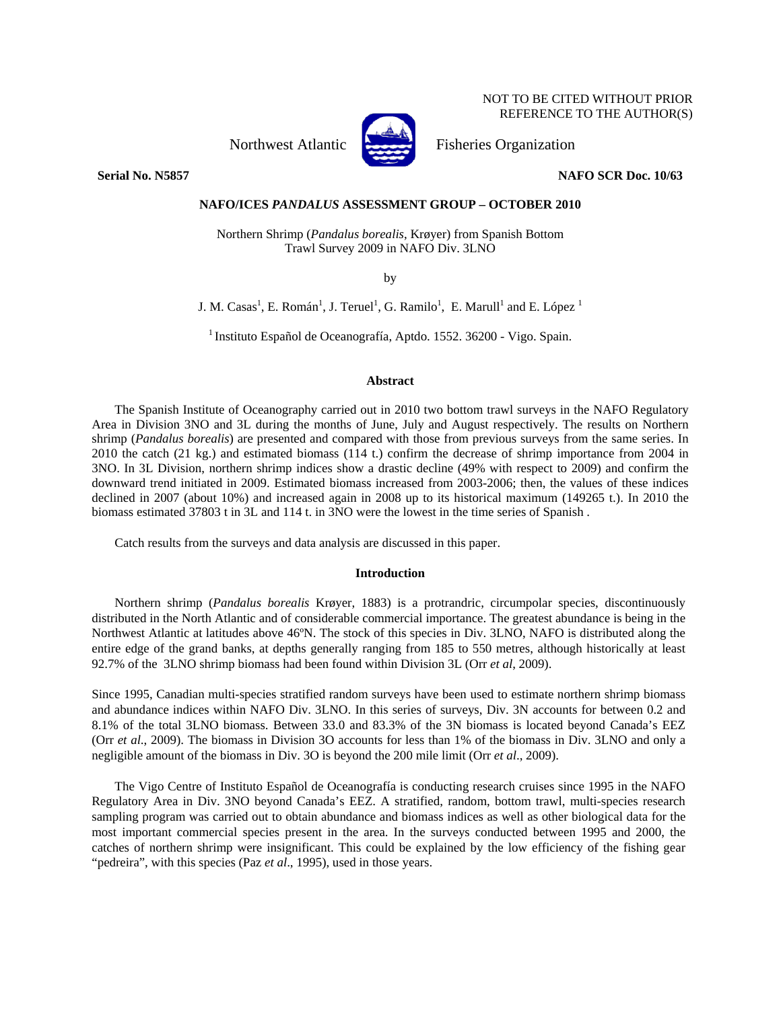NOT TO BE CITED WITHOUT PRIOR REFERENCE TO THE AUTHOR(S)

Northwest Atlantic Fisheries Organization



# **Serial No. N5857 NAFO SCR Doc. 10/63**

# **NAFO/ICES** *PANDALUS* **ASSESSMENT GROUP – OCTOBER 2010**

Northern Shrimp (*Pandalus borealis*, Krøyer) from Spanish Bottom Trawl Survey 2009 in NAFO Div. 3LNO

by

J. M. Casas<sup>1</sup>, E. Román<sup>1</sup>, J. Teruel<sup>1</sup>, G. Ramilo<sup>1</sup>, E. Marull<sup>1</sup> and E. López<sup>1</sup>

<sup>1</sup> Instituto Español de Oceanografía, Aptdo. 1552. 36200 - Vigo. Spain.

# **Abstract**

The Spanish Institute of Oceanography carried out in 2010 two bottom trawl surveys in the NAFO Regulatory Area in Division 3NO and 3L during the months of June, July and August respectively. The results on Northern shrimp (*Pandalus borealis*) are presented and compared with those from previous surveys from the same series. In 2010 the catch (21 kg.) and estimated biomass (114 t.) confirm the decrease of shrimp importance from 2004 in 3NO. In 3L Division, northern shrimp indices show a drastic decline (49% with respect to 2009) and confirm the downward trend initiated in 2009. Estimated biomass increased from 2003-2006; then, the values of these indices declined in 2007 (about 10%) and increased again in 2008 up to its historical maximum (149265 t.). In 2010 the biomass estimated 37803 t in 3L and 114 t. in 3NO were the lowest in the time series of Spanish .

Catch results from the surveys and data analysis are discussed in this paper.

## **Introduction**

Northern shrimp (*Pandalus borealis* Krøyer, 1883) is a protrandric, circumpolar species, discontinuously distributed in the North Atlantic and of considerable commercial importance. The greatest abundance is being in the Northwest Atlantic at latitudes above 46ºN. The stock of this species in Div. 3LNO, NAFO is distributed along the entire edge of the grand banks, at depths generally ranging from 185 to 550 metres, although historically at least 92.7% of the 3LNO shrimp biomass had been found within Division 3L (Orr *et al*, 2009).

Since 1995, Canadian multi-species stratified random surveys have been used to estimate northern shrimp biomass and abundance indices within NAFO Div. 3LNO. In this series of surveys, Div. 3N accounts for between 0.2 and 8.1% of the total 3LNO biomass. Between 33.0 and 83.3% of the 3N biomass is located beyond Canada's EEZ (Orr *et al*., 2009). The biomass in Division 3O accounts for less than 1% of the biomass in Div. 3LNO and only a negligible amount of the biomass in Div. 3O is beyond the 200 mile limit (Orr *et al*., 2009).

The Vigo Centre of Instituto Español de Oceanografía is conducting research cruises since 1995 in the NAFO Regulatory Area in Div. 3NO beyond Canada's EEZ. A stratified, random, bottom trawl, multi-species research sampling program was carried out to obtain abundance and biomass indices as well as other biological data for the most important commercial species present in the area. In the surveys conducted between 1995 and 2000, the catches of northern shrimp were insignificant. This could be explained by the low efficiency of the fishing gear "pedreira", with this species (Paz *et al.*, 1995), used in those years.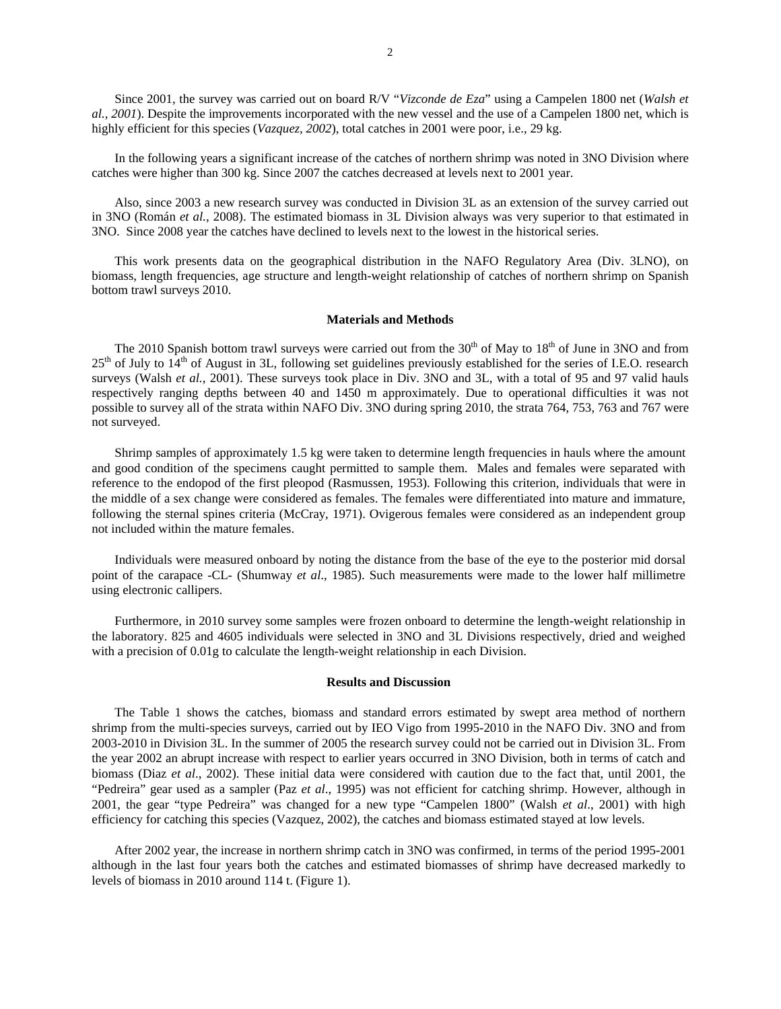Since 2001, the survey was carried out on board R/V "*Vizconde de Eza*" using a Campelen 1800 net (*Walsh et al., 2001*). Despite the improvements incorporated with the new vessel and the use of a Campelen 1800 net, which is highly efficient for this species (*Vazquez, 2002*), total catches in 2001 were poor, i.e., 29 kg.

In the following years a significant increase of the catches of northern shrimp was noted in 3NO Division where catches were higher than 300 kg. Since 2007 the catches decreased at levels next to 2001 year.

Also, since 2003 a new research survey was conducted in Division 3L as an extension of the survey carried out in 3NO (Román *et al.*, 2008). The estimated biomass in 3L Division always was very superior to that estimated in 3NO. Since 2008 year the catches have declined to levels next to the lowest in the historical series.

This work presents data on the geographical distribution in the NAFO Regulatory Area (Div. 3LNO), on biomass, length frequencies, age structure and length-weight relationship of catches of northern shrimp on Spanish bottom trawl surveys 2010.

### **Materials and Methods**

The 2010 Spanish bottom trawl surveys were carried out from the  $30<sup>th</sup>$  of May to  $18<sup>th</sup>$  of June in 3NO and from  $25<sup>th</sup>$  of July to  $14<sup>th</sup>$  of August in 3L, following set guidelines previously established for the series of I.E.O. research surveys (Walsh *et al.*, 2001). These surveys took place in Div. 3NO and 3L, with a total of 95 and 97 valid hauls respectively ranging depths between 40 and 1450 m approximately. Due to operational difficulties it was not possible to survey all of the strata within NAFO Div. 3NO during spring 2010, the strata 764, 753, 763 and 767 were not surveyed.

Shrimp samples of approximately 1.5 kg were taken to determine length frequencies in hauls where the amount and good condition of the specimens caught permitted to sample them. Males and females were separated with reference to the endopod of the first pleopod (Rasmussen, 1953). Following this criterion, individuals that were in the middle of a sex change were considered as females. The females were differentiated into mature and immature, following the sternal spines criteria (McCray, 1971). Ovigerous females were considered as an independent group not included within the mature females.

Individuals were measured onboard by noting the distance from the base of the eye to the posterior mid dorsal point of the carapace -CL- (Shumway *et al*., 1985). Such measurements were made to the lower half millimetre using electronic callipers.

Furthermore, in 2010 survey some samples were frozen onboard to determine the length-weight relationship in the laboratory. 825 and 4605 individuals were selected in 3NO and 3L Divisions respectively, dried and weighed with a precision of 0.01g to calculate the length-weight relationship in each Division.

#### **Results and Discussion**

The Table 1 shows the catches, biomass and standard errors estimated by swept area method of northern shrimp from the multi-species surveys, carried out by IEO Vigo from 1995-2010 in the NAFO Div. 3NO and from 2003-2010 in Division 3L. In the summer of 2005 the research survey could not be carried out in Division 3L. From the year 2002 an abrupt increase with respect to earlier years occurred in 3NO Division, both in terms of catch and biomass (Diaz *et al*., 2002). These initial data were considered with caution due to the fact that, until 2001, the "Pedreira" gear used as a sampler (Paz *et al*., 1995) was not efficient for catching shrimp. However, although in 2001, the gear "type Pedreira" was changed for a new type "Campelen 1800" (Walsh *et al*., 2001) with high efficiency for catching this species (Vazquez, 2002), the catches and biomass estimated stayed at low levels.

After 2002 year, the increase in northern shrimp catch in 3NO was confirmed, in terms of the period 1995-2001 although in the last four years both the catches and estimated biomasses of shrimp have decreased markedly to levels of biomass in 2010 around 114 t. (Figure 1).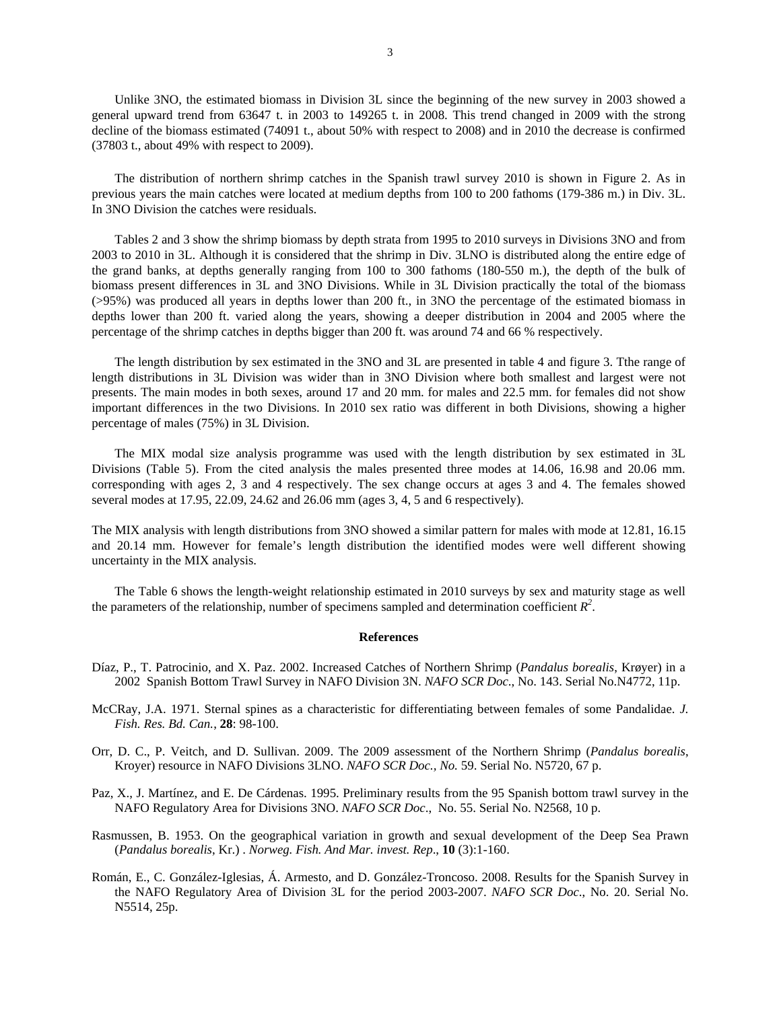Unlike 3NO, the estimated biomass in Division 3L since the beginning of the new survey in 2003 showed a general upward trend from 63647 t. in 2003 to 149265 t. in 2008. This trend changed in 2009 with the strong decline of the biomass estimated (74091 t., about 50% with respect to 2008) and in 2010 the decrease is confirmed (37803 t., about 49% with respect to 2009).

The distribution of northern shrimp catches in the Spanish trawl survey 2010 is shown in Figure 2. As in previous years the main catches were located at medium depths from 100 to 200 fathoms (179-386 m.) in Div. 3L. In 3NO Division the catches were residuals.

Tables 2 and 3 show the shrimp biomass by depth strata from 1995 to 2010 surveys in Divisions 3NO and from 2003 to 2010 in 3L. Although it is considered that the shrimp in Div. 3LNO is distributed along the entire edge of the grand banks, at depths generally ranging from 100 to 300 fathoms (180-550 m.), the depth of the bulk of biomass present differences in 3L and 3NO Divisions. While in 3L Division practically the total of the biomass (>95%) was produced all years in depths lower than 200 ft., in 3NO the percentage of the estimated biomass in depths lower than 200 ft. varied along the years, showing a deeper distribution in 2004 and 2005 where the percentage of the shrimp catches in depths bigger than 200 ft. was around 74 and 66 % respectively.

The length distribution by sex estimated in the 3NO and 3L are presented in table 4 and figure 3. Tthe range of length distributions in 3L Division was wider than in 3NO Division where both smallest and largest were not presents. The main modes in both sexes, around 17 and 20 mm. for males and 22.5 mm. for females did not show important differences in the two Divisions. In 2010 sex ratio was different in both Divisions, showing a higher percentage of males (75%) in 3L Division.

The MIX modal size analysis programme was used with the length distribution by sex estimated in 3L Divisions (Table 5). From the cited analysis the males presented three modes at 14.06, 16.98 and 20.06 mm. corresponding with ages 2, 3 and 4 respectively. The sex change occurs at ages 3 and 4. The females showed several modes at 17.95, 22.09, 24.62 and 26.06 mm (ages 3, 4, 5 and 6 respectively).

The MIX analysis with length distributions from 3NO showed a similar pattern for males with mode at 12.81, 16.15 and 20.14 mm. However for female's length distribution the identified modes were well different showing uncertainty in the MIX analysis.

The Table 6 shows the length-weight relationship estimated in 2010 surveys by sex and maturity stage as well the parameters of the relationship, number of specimens sampled and determination coefficient  $R^2$ .

#### **References**

- Díaz, P., T. Patrocinio, and X. Paz. 2002. Increased Catches of Northern Shrimp (*Pandalus borealis*, Krøyer) in a 2002 Spanish Bottom Trawl Survey in NAFO Division 3N. *NAFO SCR Doc*., No. 143. Serial No.N4772, 11p.
- McCRay, J.A. 1971. Sternal spines as a characteristic for differentiating between females of some Pandalidae. *J. Fish. Res. Bd. Can.*, **28**: 98-100.
- Orr, D. C., P. Veitch, and D. Sullivan. 2009. The 2009 assessment of the Northern Shrimp (*Pandalus borealis*, Kroyer) resource in NAFO Divisions 3LNO. *NAFO SCR Doc., No.* 59. Serial No. N5720, 67 p.
- Paz, X., J. Martínez, and E. De Cárdenas. 1995. Preliminary results from the 95 Spanish bottom trawl survey in the NAFO Regulatory Area for Divisions 3NO. *NAFO SCR Doc*., No. 55. Serial No. N2568, 10 p.
- Rasmussen, B. 1953. On the geographical variation in growth and sexual development of the Deep Sea Prawn (*Pandalus borealis*, Kr.) . *Norweg. Fish. And Mar. invest. Rep*., **10** (3):1-160.
- Román, E., C. González-Iglesias, Á. Armesto, and D. González-Troncoso. 2008. Results for the Spanish Survey in the NAFO Regulatory Area of Division 3L for the period 2003-2007. *NAFO SCR Doc*., No. 20. Serial No. N5514, 25p.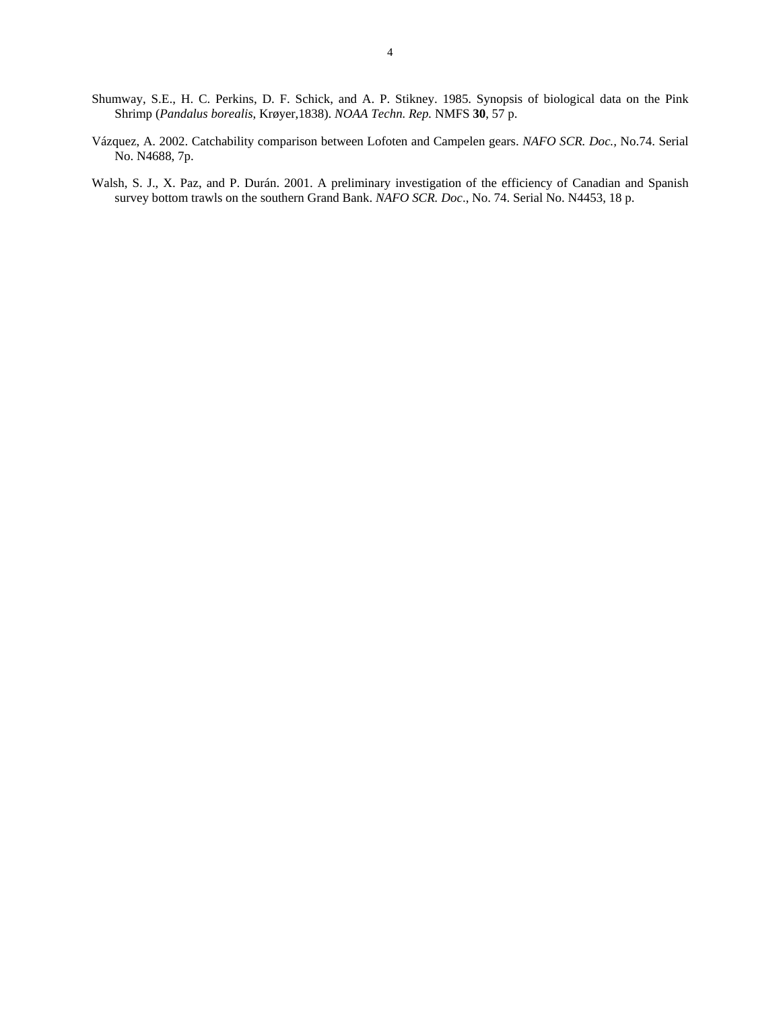- Shumway, S.E., H. C. Perkins, D. F. Schick, and A. P. Stikney. 1985. Synopsis of biological data on the Pink Shrimp (*Pandalus borealis*, Krøyer,1838). *NOAA Techn. Rep.* NMFS **30**, 57 p.
- Vázquez, A. 2002. Catchability comparison between Lofoten and Campelen gears. *NAFO SCR. Doc.,* No.74. Serial No. N4688, 7p.
- Walsh, S. J., X. Paz, and P. Durán. 2001. A preliminary investigation of the efficiency of Canadian and Spanish survey bottom trawls on the southern Grand Bank. *NAFO SCR. Doc*., No. 74. Serial No. N4453, 18 p.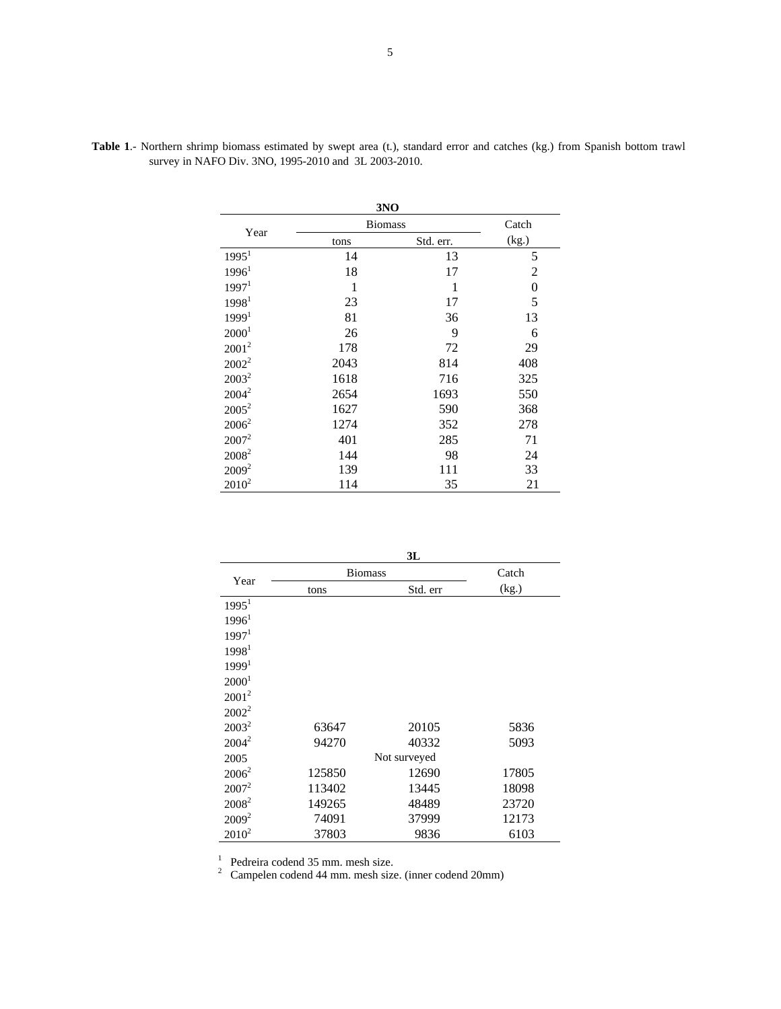|                   |                | 3NO       |                  |
|-------------------|----------------|-----------|------------------|
| Year              | <b>Biomass</b> | Catch     |                  |
|                   | tons           | Std. err. | (kg.)            |
| 1995 <sup>1</sup> | 14             | 13        | 5                |
| 1996 <sup>1</sup> | 18             | 17        | $\overline{2}$   |
| 1997 <sup>1</sup> | 1              | 1         | $\boldsymbol{0}$ |
| 1998 <sup>1</sup> | 23             | 17        | 5                |
| 1999 <sup>1</sup> | 81             | 36        | 13               |
| 2000 <sup>1</sup> | 26             | 9         | 6                |
| $2001^2$          | 178            | 72        | 29               |
| $2002^2$          | 2043           | 814       | 408              |
| $2003^2$          | 1618           | 716       | 325              |
| $2004^2$          | 2654           | 1693      | 550              |
| $2005^2$          | 1627           | 590       | 368              |
| $2006^2$          | 1274           | 352       | 278              |
| $2007^2$          | 401            | 285       | 71               |
| $2008^2$          | 144            | 98        | 24               |
| $2009^2$          | 139            | 111       | 33               |
| $2010^2$          | 114            | 35        | 21               |

**Table 1**.- Northern shrimp biomass estimated by swept area (t.), standard error and catches (kg.) from Spanish bottom trawl survey in NAFO Div. 3NO, 1995-2010 and 3L 2003-2010.

|                   |                | 3L           |       |
|-------------------|----------------|--------------|-------|
| Year              | <b>Biomass</b> | Catch        |       |
|                   | tons           | Std. err     | (kg.) |
| $1995^1$          |                |              |       |
| 1996 <sup>1</sup> |                |              |       |
| 1997 <sup>1</sup> |                |              |       |
| 1998 <sup>1</sup> |                |              |       |
| 1999 <sup>1</sup> |                |              |       |
| 2000 <sup>1</sup> |                |              |       |
| $2001^2$          |                |              |       |
| $2002^2$          |                |              |       |
| $2003^2$          | 63647          | 20105        | 5836  |
| $2004^2$          | 94270          | 40332        | 5093  |
| 2005              |                | Not surveyed |       |
| $2006^2$          | 125850         | 12690        | 17805 |
| $2007^2$          | 113402         | 13445        | 18098 |
| $2008^2$          | 149265         | 48489        | 23720 |
| $2009^2$          | 74091          | 37999        | 12173 |
| $2010^2$          | 37803          | 9836         | 6103  |

1 Pedreira codend 35 mm. mesh size. 2 Campelen codend 44 mm. mesh size. (inner codend 20mm)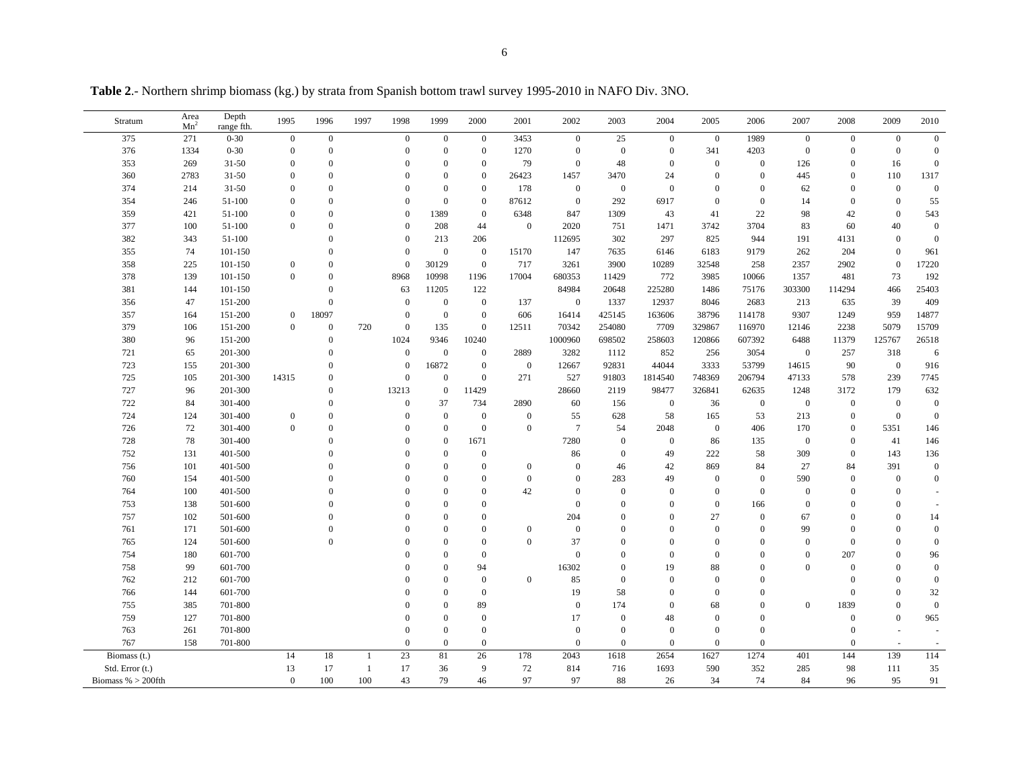| Stratum                                 | Area<br>Mn <sup>2</sup> | Depth<br>range fth. | 1995                 | 1996             | 1997                | 1998                 | 1999                 | 2000               | 2001             | 2002                 | 2003                | 2004             | 2005           | 2006                 | 2007             | 2008                   | 2009                       | 2010                     |
|-----------------------------------------|-------------------------|---------------------|----------------------|------------------|---------------------|----------------------|----------------------|--------------------|------------------|----------------------|---------------------|------------------|----------------|----------------------|------------------|------------------------|----------------------------|--------------------------|
| 375                                     | 271                     | $0 - 30$            | $\overline{0}$       | $\overline{0}$   |                     | $\boldsymbol{0}$     | $\mathbf{0}$         | $\mathbf{0}$       | 3453             | $\mathbf{0}$         | 25                  | $\overline{0}$   | $\overline{0}$ | 1989                 | $\overline{0}$   | $\mathbf{0}$           | $\mathbf{0}$               | $\mathbf{0}$             |
| 376                                     | 1334                    | $0 - 30$            | $\mathbf{0}$         | $\mathbf{0}$     |                     | $\Omega$             | $\mathbf{0}$         | $\mathbf{0}$       | 1270             | $\mathbf{0}$         | $\mathbf{0}$        | $\boldsymbol{0}$ | 341            | 4203                 | $\mathbf{0}$     | $\mathbf{0}$           | $\mathbf{0}$               | $\mathbf{0}$             |
| 353                                     | 269                     | $31 - 50$           | $\overline{0}$       | $\overline{0}$   |                     | $\Omega$             | $\Omega$             | $\overline{0}$     | 79               | $\mathbf{0}$         | 48                  | $\theta$         | $\mathbf{0}$   | $\boldsymbol{0}$     | 126              | $\mathbf{0}$           | 16                         | $\overline{0}$           |
| 360                                     | 2783                    | $31 - 50$           | $\Omega$             | $\overline{0}$   |                     |                      | $\Omega$             | $\theta$           | 26423            | 1457                 | 3470                | 24               | $\Omega$       | $\mathbf{0}$         | 445              | $\overline{0}$         | 110                        | 1317                     |
| 374                                     | 214                     | $31 - 50$           | $\theta$             | $\theta$         |                     |                      | $\theta$             | $\mathbf{0}$       | 178              | $\mathbf{0}$         | $\mathbf{0}$        | $\mathbf{0}$     | $\Omega$       | $\theta$             | 62               | $\overline{0}$         | $\boldsymbol{0}$           | $\mathbf{0}$             |
| 354                                     | 246                     | 51-100              | $\Omega$             | $\mathbf{0}$     |                     | $\Omega$             | $\Omega$             | $\theta$           | 87612            | $\mathbf{0}$         | 292                 | 6917             | $\Omega$       | $\mathbf{0}$         | 14               | $\overline{0}$         | $\mathbf{0}$               | 55                       |
| 359                                     | 421                     | 51-100              | $\overline{0}$       | $\mathbf{0}$     |                     | $\Omega$             | 1389                 | $\mathbf{0}$       | 6348             | 847                  | 1309                | 43               | 41             | $22\,$               | 98               | 42                     | $\boldsymbol{0}$           | 543                      |
| 377                                     | 100                     | 51-100              | $\overline{0}$       | $\theta$         |                     |                      | 208                  | 44                 | $\mathbf{0}$     | 2020                 | 751                 | 1471             | 3742           | 3704                 | 83               | 60                     | 40                         | $\mathbf{0}$             |
| 382                                     | 343                     | 51-100              |                      | $\theta$         |                     | $\Omega$             | 213                  | 206                |                  | 112695               | 302                 | 297              | 825            | 944                  | 191              | 4131                   | $\mathbf{0}$               | $\overline{0}$           |
| 355                                     | 74                      | 101-150             |                      | $\mathbf{0}$     |                     | $\mathbf{0}$         | $\mathbf{0}$         | $\mathbf{0}$       | 15170            | 147                  | 7635                | 6146             | 6183           | 9179                 | 262              | 204                    | $\boldsymbol{0}$           | 961                      |
| 358                                     | 225                     | 101-150             | $\mathbf{0}$         | $\mathbf{0}$     |                     | $\theta$             | 30129                | $\mathbf{0}$       | 717              | 3261                 | 3900                | 10289            | 32548          | 258                  | 2357             | 2902                   | $\boldsymbol{0}$           | 17220                    |
| 378                                     | 139                     | 101-150             | $\mathbf{0}$         | $\mathbf{0}$     |                     | 8968                 | 10998                | 1196               | 17004            | 680353               | 11429               | 772              | 3985           | 10066                | 1357             | 481                    | 73                         | 192                      |
| 381                                     | 144                     | 101-150             |                      | $\overline{0}$   |                     | 63                   | 11205                | 122                |                  | 84984                | 20648               | 225280           | 1486           | 75176                | 303300           | 114294                 | 466                        | 25403                    |
| 356                                     | 47                      | 151-200             |                      | $\mathbf{0}$     |                     | $\mathbf{0}$         | $\overline{0}$       | $\mathbf{0}$       | 137              | $\mathbf{0}$         | 1337                | 12937            | 8046           | 2683                 | 213              | 635                    | 39                         | 409                      |
| 357                                     | 164                     | 151-200             | $\boldsymbol{0}$     | 18097            |                     | $\mathbf{0}$         | $\mathbf{0}$         | $\boldsymbol{0}$   | 606              | 16414                | 425145              | 163606           | 38796          | 114178               | 9307             | 1249                   | 959                        | 14877                    |
| 379                                     | 106                     | 151-200             | $\mathbf{0}$         | $\mathbf{0}$     | 720                 | $\mathbf{0}$         | 135                  | $\mathbf{0}$       | 12511            | 70342                | 254080              | 7709             | 329867         | 116970               | 12146            | 2238                   | 5079                       | 15709                    |
| 380                                     | 96                      | 151-200             |                      | $\Omega$         |                     | 1024                 | 9346                 | 10240              |                  | 1000960              | 698502              | 258603           | 120866         | 607392               | 6488             | 11379                  | 125767                     | 26518                    |
| 721                                     | 65                      | 201-300             |                      | $\mathbf{0}$     |                     | $\boldsymbol{0}$     | $\mathbf{0}$         | $\mathbf{0}$       | 2889             | 3282                 | 1112                | 852              | 256            | 3054                 | $\mathbf{0}$     | 257                    | 318                        | 6                        |
| 723                                     | 155                     | 201-300             |                      | $\Omega$         |                     | $\Omega$             | 16872                | $\mathbf{0}$       | $\mathbf{0}$     | 12667                | 92831               | 44044            | 3333           | 53799                | 14615            | 90                     | $\boldsymbol{0}$           | 916                      |
| 725                                     | 105                     | 201-300             | 14315                | $\mathbf{0}$     |                     | $\Omega$             | $\Omega$             | $\theta$           | 271              | 527                  | 91803               | 1814540          | 748369         | 206794               | 47133            | 578                    | 239                        | 7745                     |
| 727                                     | 96                      | 201-300             |                      | $\mathbf{0}$     |                     | 13213                | $\theta$             | 11429              |                  | 28660                | 2119                | 98477            | 326841         | 62635                | 1248             | 3172                   | 179                        | 632                      |
| 722                                     | 84                      | 301-400             |                      | $\mathbf{0}$     |                     | $\Omega$             | 37                   | 734                | 2890             | 60                   | 156                 | $\mathbf{0}$     | 36             | $\mathbf{0}$         | $\mathbf{0}$     | $\mathbf{0}$           | $\boldsymbol{0}$           | $\mathbf{0}$             |
| 724                                     | 124                     | 301-400             | $\boldsymbol{0}$     | $\overline{0}$   |                     |                      | $\mathbf{0}$         | $\boldsymbol{0}$   | $\mathbf{0}$     | 55                   | 628                 | 58               | 165            | 53                   | 213              | $\overline{0}$         | $\boldsymbol{0}$           | $\overline{0}$           |
| 726                                     | 72                      | 301-400             | $\boldsymbol{0}$     | $\theta$         |                     |                      | $\mathbf{0}$         | $\mathbf{0}$       | $\mathbf{0}$     | $\tau$               | 54                  | 2048             | $\mathbf{0}$   | 406                  | 170              | $\mathbf{0}$           | 5351                       | 146                      |
| 728                                     | 78                      | 301-400             |                      | $\Omega$         |                     |                      | $\theta$             | 1671               |                  | 7280                 | $\mathbf{0}$        | $\overline{0}$   | 86             | 135                  | $\overline{0}$   | $\Omega$               | 41                         | 146                      |
| 752                                     | 131                     | 401-500             |                      | $\boldsymbol{0}$ |                     |                      | $\theta$             | $\mathbf{0}$       |                  | 86                   | $\mathbf{0}$        | 49               | 222            | 58                   | 309              | $\mathbf{0}$           | 143                        | 136                      |
| 756                                     | 101                     | 401-500             |                      | $\Omega$         |                     |                      | $\Omega$             | $\mathbf{0}$       | $\mathbf{0}$     | $\overline{0}$       | 46                  | 42               | 869            | 84                   | 27               | 84                     | 391                        | $\mathbf{0}$             |
| 760                                     | 154                     | 401-500             |                      | $\mathbf{0}$     |                     |                      | $\Omega$             | $\theta$           | $\mathbf{0}$     | $\Omega$             | 283                 | 49               | $\Omega$       | $\mathbf{0}$         | 590              | $\overline{0}$         | $\boldsymbol{0}$           | $\overline{0}$           |
| 764                                     | 100                     | 401-500             |                      | $\theta$         |                     |                      | $\theta$             | $\theta$           | 42               | $\theta$             | $\theta$            | $\theta$         | $\theta$       | $\mathbf{0}$         | $\theta$         | $\Omega$               | $\overline{0}$             |                          |
| 753                                     | 138                     | 501-600             |                      | $\mathbf{0}$     |                     |                      | $\Omega$             | $\Omega$           |                  | $\mathbf{0}$         | $\Omega$            | $\Omega$         | $\Omega$       | 166                  | $\theta$         | $\theta$               | $\theta$                   | $\sim$                   |
| 757                                     | 102                     | 501-600             |                      | $\theta$         |                     |                      | $\Omega$             | $\Omega$           |                  | 204                  | $\Omega$            | $\Omega$         | 27             | $\Omega$             | 67               | $\Omega$               | $\theta$                   | 14                       |
| 761                                     | 171                     | 501-600             |                      | $\theta$         |                     |                      | $\Omega$             | $\overline{0}$     | $\boldsymbol{0}$ | $\mathbf{0}$         | $\theta$            | $\Omega$         | $\Omega$       | $\theta$             | 99               | $\overline{0}$         | $\mathbf{0}$               | $\mathbf{0}$             |
| 765                                     | 124                     | 501-600             |                      | $\Omega$         |                     |                      | $\Omega$             | $\theta$           | $\Omega$         | 37                   | $\Omega$            | $\Omega$         | $\Omega$       | $\Omega$             | $\theta$         | $\Omega$               | $\Omega$                   | $\overline{0}$           |
| 754                                     | 180                     | 601-700             |                      |                  |                     |                      | $\theta$             | $\mathbf{0}$       |                  | $\overline{0}$       | $\Omega$            | $\overline{0}$   | $\Omega$       | $\Omega$             | $\boldsymbol{0}$ | 207                    | $\overline{0}$             | 96                       |
| 758                                     | 99                      | 601-700             |                      |                  |                     |                      | $\Omega$<br>$\Omega$ | 94                 |                  | 16302                | $\Omega$            | 19               | 88             | $\theta$<br>$\Omega$ | $\Omega$         | $\overline{0}$         | $\theta$<br>$\theta$       | $\mathbf{0}$             |
| 762                                     | 212                     | 601-700             |                      |                  |                     |                      |                      | $\mathbf{0}$       | $\mathbf{0}$     | 85                   | $\mathbf{0}$        | $\Omega$         | $\Omega$       |                      |                  | $\Omega$               |                            | $\overline{0}$           |
| 766                                     | 144                     | 601-700             |                      |                  |                     |                      | $\theta$<br>$\Omega$ | $\mathbf{0}$       |                  | 19                   | 58                  | $\theta$         | $\theta$       | $\theta$<br>$\Omega$ |                  | $\overline{0}$         | $\overline{0}$<br>$\theta$ | 32                       |
| 755<br>759                              | 385                     | 701-800<br>701-800  |                      |                  |                     |                      | $\Omega$             | 89<br>$\mathbf{0}$ |                  | $\overline{0}$<br>17 | 174<br>$\mathbf{0}$ | $\Omega$         | 68<br>$\Omega$ | $\theta$             | $\mathbf{0}$     | 1839<br>$\overline{0}$ | $\theta$                   | $\overline{0}$           |
|                                         | 127                     |                     |                      |                  |                     |                      |                      |                    |                  |                      |                     | 48               |                |                      |                  |                        |                            | 965                      |
| 763                                     | 261                     | 701-800             |                      |                  |                     | $\Omega$<br>$\theta$ | $\Omega$<br>$\theta$ | $\overline{0}$     |                  | $\boldsymbol{0}$     | $\mathbf{0}$        | $\mathbf{0}$     | $\mathbf{0}$   | $\boldsymbol{0}$     |                  | $\mathbf{0}$           |                            |                          |
| 767                                     | 158                     | 701-800             |                      |                  |                     |                      |                      | $\mathbf{0}$       |                  | $\mathbf{0}$         | $\mathbf{0}$        | $\mathbf{0}$     | $\overline{0}$ | $\mathbf{0}$         |                  | $\overline{0}$         | $\sim$                     | $\overline{\phantom{a}}$ |
| Biomass (t.)                            |                         |                     | 14                   | 18               | $\mathbf{1}$        | 23                   | 81                   | 26                 | 178              | 2043                 | 1618                | 2654             | 1627           | 1274                 | 401              | 144                    | 139                        | 114                      |
| Std. Error (t.)<br>Biomass % $>$ 200fth |                         |                     | 13<br>$\overline{0}$ | 17<br>100        | $\mathbf{1}$<br>100 | 17<br>43             | 36<br>79             | 9<br>46            | 72<br>97         | 814<br>97            | 716<br>88           | 1693<br>26       | 590<br>34      | 352<br>74            | 285<br>84        | 98<br>96               | 111<br>95                  | 35<br>91                 |
|                                         |                         |                     |                      |                  |                     |                      |                      |                    |                  |                      |                     |                  |                |                      |                  |                        |                            |                          |

**Table 2**.- Northern shrimp biomass (kg.) by strata from Spanish bottom trawl survey 1995-2010 in NAFO Div. 3NO.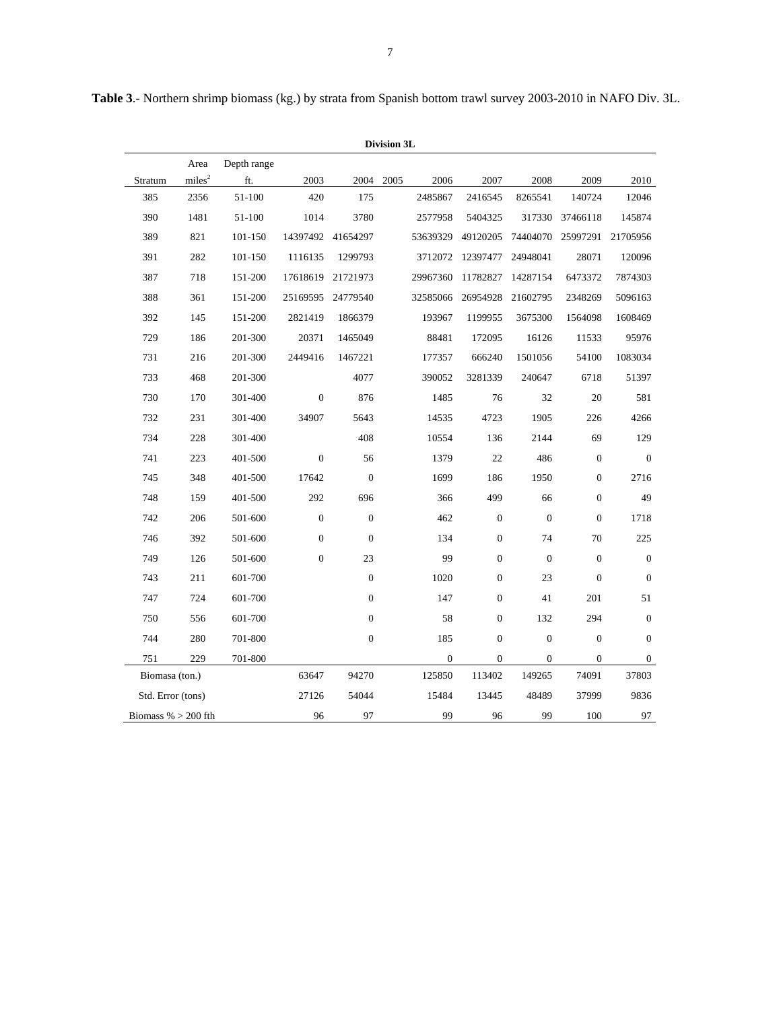| Division 3L           |                    |             |                  |                  |      |              |                  |                  |                  |                  |
|-----------------------|--------------------|-------------|------------------|------------------|------|--------------|------------------|------------------|------------------|------------------|
|                       | Area               | Depth range |                  |                  |      |              |                  |                  |                  |                  |
| Stratum               | miles <sup>2</sup> | ft.         | 2003             | 2004             | 2005 | 2006         | 2007             | 2008             | 2009             | 2010             |
| 385                   | 2356               | 51-100      | 420              | 175              |      | 2485867      | 2416545          | 8265541          | 140724           | 12046            |
| 390                   | 1481               | 51-100      | 1014             | 3780             |      | 2577958      | 5404325          | 317330           | 37466118         | 145874           |
| 389                   | 821                | 101-150     | 14397492         | 41654297         |      | 53639329     | 49120205         | 74404070         | 25997291         | 21705956         |
| 391                   | 282                | 101-150     | 1116135          | 1299793          |      | 3712072      | 12397477         | 24948041         | 28071            | 120096           |
| 387                   | 718                | 151-200     | 17618619         | 21721973         |      | 29967360     | 11782827         | 14287154         | 6473372          | 7874303          |
| 388                   | 361                | 151-200     | 25169595         | 24779540         |      | 32585066     | 26954928         | 21602795         | 2348269          | 5096163          |
| 392                   | 145                | 151-200     | 2821419          | 1866379          |      | 193967       | 1199955          | 3675300          | 1564098          | 1608469          |
| 729                   | 186                | 201-300     | 20371            | 1465049          |      | 88481        | 172095           | 16126            | 11533            | 95976            |
| 731                   | 216                | 201-300     | 2449416          | 1467221          |      | 177357       | 666240           | 1501056          | 54100            | 1083034          |
| 733                   | 468                | 201-300     |                  | 4077             |      | 390052       | 3281339          | 240647           | 6718             | 51397            |
| 730                   | 170                | 301-400     | $\boldsymbol{0}$ | 876              |      | 1485         | 76               | 32               | 20               | 581              |
| 732                   | 231                | 301-400     | 34907            | 5643             |      | 14535        | 4723             | 1905             | 226              | 4266             |
| 734                   | 228                | 301-400     |                  | 408              |      | 10554        | 136              | 2144             | 69               | 129              |
| 741                   | 223                | 401-500     | $\boldsymbol{0}$ | 56               |      | 1379         | 22               | 486              | $\boldsymbol{0}$ | $\mathbf{0}$     |
| 745                   | 348                | 401-500     | 17642            | $\mathbf{0}$     |      | 1699         | 186              | 1950             | $\boldsymbol{0}$ | 2716             |
| 748                   | 159                | 401-500     | 292              | 696              |      | 366          | 499              | 66               | $\boldsymbol{0}$ | 49               |
| 742                   | 206                | 501-600     | $\boldsymbol{0}$ | $\boldsymbol{0}$ |      | 462          | $\boldsymbol{0}$ | $\boldsymbol{0}$ | $\boldsymbol{0}$ | 1718             |
| 746                   | 392                | 501-600     | $\boldsymbol{0}$ | $\boldsymbol{0}$ |      | 134          | $\boldsymbol{0}$ | 74               | 70               | 225              |
| 749                   | 126                | 501-600     | $\boldsymbol{0}$ | 23               |      | 99           | $\boldsymbol{0}$ | $\boldsymbol{0}$ | $\boldsymbol{0}$ | $\boldsymbol{0}$ |
| 743                   | 211                | 601-700     |                  | $\boldsymbol{0}$ |      | 1020         | $\boldsymbol{0}$ | 23               | $\boldsymbol{0}$ | $\mathbf{0}$     |
| 747                   | 724                | 601-700     |                  | $\boldsymbol{0}$ |      | 147          | $\boldsymbol{0}$ | 41               | 201              | 51               |
| 750                   | 556                | 601-700     |                  | $\boldsymbol{0}$ |      | 58           | $\boldsymbol{0}$ | 132              | 294              | $\boldsymbol{0}$ |
| 744                   | 280                | 701-800     |                  | $\boldsymbol{0}$ |      | 185          | $\boldsymbol{0}$ | $\boldsymbol{0}$ | $\boldsymbol{0}$ | $\boldsymbol{0}$ |
| 751                   | 229                | 701-800     |                  |                  |      | $\mathbf{0}$ | $\boldsymbol{0}$ | $\boldsymbol{0}$ | $\boldsymbol{0}$ | 0                |
| Biomasa (ton.)        |                    |             | 63647            | 94270            |      | 125850       | 113402           | 149265           | 74091            | 37803            |
| Std. Error (tons)     |                    |             | 27126            | 54044            |      | 15484        | 13445            | 48489            | 37999            | 9836             |
| Biomass $% > 200$ fth |                    |             | 96               | 97               |      | 99           | 96               | 99               | 100              | 97               |

**Table 3**.- Northern shrimp biomass (kg.) by strata from Spanish bottom trawl survey 2003-2010 in NAFO Div. 3L.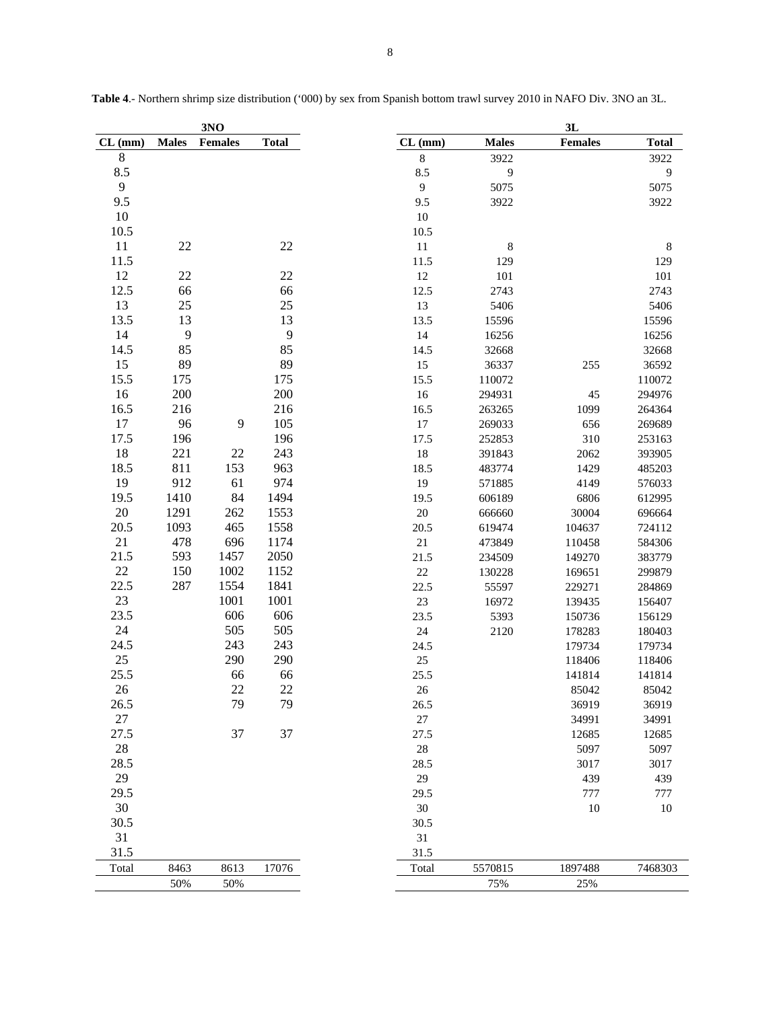| <b>Males</b><br>Females<br><b>Total</b><br><b>Males</b><br><b>Females</b><br><b>Total</b><br>CL (mm)<br>CL (mm)<br>$\bf 8$<br>$\,8\,$<br>3922<br>3922<br>8.5<br>8.5<br>$\mathbf{9}$<br>$\overline{9}$<br>$\overline{9}$<br>$\mathbf{9}$<br>5075<br>5075<br>9.5<br>9.5<br>3922<br>3922<br>10<br>10<br>10.5<br>10.5<br>11<br>22<br>22<br>11<br>8<br>$\,8\,$<br>11.5<br>11.5<br>129<br>129<br>12<br>22<br>$22\,$<br>12<br>101<br>101<br>12.5<br>66<br>66<br>12.5<br>2743<br>2743 |
|-------------------------------------------------------------------------------------------------------------------------------------------------------------------------------------------------------------------------------------------------------------------------------------------------------------------------------------------------------------------------------------------------------------------------------------------------------------------------------|
|                                                                                                                                                                                                                                                                                                                                                                                                                                                                               |
|                                                                                                                                                                                                                                                                                                                                                                                                                                                                               |
|                                                                                                                                                                                                                                                                                                                                                                                                                                                                               |
|                                                                                                                                                                                                                                                                                                                                                                                                                                                                               |
|                                                                                                                                                                                                                                                                                                                                                                                                                                                                               |
|                                                                                                                                                                                                                                                                                                                                                                                                                                                                               |
|                                                                                                                                                                                                                                                                                                                                                                                                                                                                               |
|                                                                                                                                                                                                                                                                                                                                                                                                                                                                               |
|                                                                                                                                                                                                                                                                                                                                                                                                                                                                               |
|                                                                                                                                                                                                                                                                                                                                                                                                                                                                               |
|                                                                                                                                                                                                                                                                                                                                                                                                                                                                               |
| 13<br>25<br>25<br>13<br>5406<br>5406                                                                                                                                                                                                                                                                                                                                                                                                                                          |
| 13.5<br>13<br>13<br>13.5<br>15596<br>15596                                                                                                                                                                                                                                                                                                                                                                                                                                    |
| 14<br>9<br>9<br>14<br>16256<br>16256                                                                                                                                                                                                                                                                                                                                                                                                                                          |
| 85<br>85<br>14.5<br>14.5<br>32668<br>32668                                                                                                                                                                                                                                                                                                                                                                                                                                    |
| 15<br>89<br>89<br>15<br>255<br>36337<br>36592                                                                                                                                                                                                                                                                                                                                                                                                                                 |
| 15.5<br>175<br>175<br>15.5<br>110072<br>110072                                                                                                                                                                                                                                                                                                                                                                                                                                |
| 200<br>16<br>200<br>16<br>294931<br>45<br>294976                                                                                                                                                                                                                                                                                                                                                                                                                              |
| 16.5<br>216<br>216<br>16.5<br>263265<br>1099<br>264364                                                                                                                                                                                                                                                                                                                                                                                                                        |
| 17<br>96<br>9<br>105<br>17<br>269033<br>656<br>269689                                                                                                                                                                                                                                                                                                                                                                                                                         |
| 17.5<br>196<br>196<br>17.5<br>310<br>253163<br>252853                                                                                                                                                                                                                                                                                                                                                                                                                         |
| 18<br>221<br>22<br>243<br>18<br>2062<br>391843<br>393905                                                                                                                                                                                                                                                                                                                                                                                                                      |
| 18.5<br>963<br>811<br>153<br>18.5<br>1429<br>483774<br>485203                                                                                                                                                                                                                                                                                                                                                                                                                 |
| 19<br>61<br>974<br>912<br>19<br>571885<br>4149<br>576033                                                                                                                                                                                                                                                                                                                                                                                                                      |
| 19.5<br>1410<br>84<br>1494<br>6806                                                                                                                                                                                                                                                                                                                                                                                                                                            |
| 19.5<br>606189<br>612995<br>$20\,$<br>1291<br>262<br>1553                                                                                                                                                                                                                                                                                                                                                                                                                     |
| $20\,$<br>666660<br>30004<br>696664<br>20.5<br>1093<br>465<br>1558                                                                                                                                                                                                                                                                                                                                                                                                            |
| 20.5<br>619474<br>104637<br>724112<br>21<br>478                                                                                                                                                                                                                                                                                                                                                                                                                               |
| 696<br>1174<br>$21\,$<br>473849<br>584306<br>110458                                                                                                                                                                                                                                                                                                                                                                                                                           |
| 21.5<br>593<br>1457<br>2050<br>21.5<br>234509<br>383779<br>149270                                                                                                                                                                                                                                                                                                                                                                                                             |
| $22\,$<br>150<br>1002<br>$22\,$<br>1152<br>130228<br>169651<br>299879                                                                                                                                                                                                                                                                                                                                                                                                         |
| 22.5<br>287<br>1554<br>1841<br>22.5<br>55597<br>229271<br>284869                                                                                                                                                                                                                                                                                                                                                                                                              |
| 23<br>1001<br>1001<br>$23\,$<br>16972<br>139435<br>156407                                                                                                                                                                                                                                                                                                                                                                                                                     |
| 23.5<br>606<br>606<br>23.5<br>5393<br>150736<br>156129                                                                                                                                                                                                                                                                                                                                                                                                                        |
| 24<br>505<br>505<br>$24\,$<br>2120<br>180403<br>178283                                                                                                                                                                                                                                                                                                                                                                                                                        |
| 24.5<br>243<br>243<br>24.5<br>179734<br>179734                                                                                                                                                                                                                                                                                                                                                                                                                                |
| $25\,$<br>290<br>290<br>$25\,$<br>118406<br>118406                                                                                                                                                                                                                                                                                                                                                                                                                            |
| 25.5<br>66<br>66<br>25.5<br>141814<br>141814                                                                                                                                                                                                                                                                                                                                                                                                                                  |
| 22<br>22<br>26<br>$26\,$<br>85042<br>85042                                                                                                                                                                                                                                                                                                                                                                                                                                    |
| 26.5<br>79<br>79<br>36919<br>36919<br>26.5                                                                                                                                                                                                                                                                                                                                                                                                                                    |
| $27\,$<br>$27\,$<br>34991<br>34991                                                                                                                                                                                                                                                                                                                                                                                                                                            |
| 27.5<br>37<br>37<br>27.5<br>12685<br>12685                                                                                                                                                                                                                                                                                                                                                                                                                                    |
| $28\,$<br>$28\,$<br>5097<br>5097                                                                                                                                                                                                                                                                                                                                                                                                                                              |
| 28.5<br>28.5<br>3017<br>3017                                                                                                                                                                                                                                                                                                                                                                                                                                                  |
| 29<br>29<br>439<br>439                                                                                                                                                                                                                                                                                                                                                                                                                                                        |
| 29.5<br>777<br>777<br>29.5                                                                                                                                                                                                                                                                                                                                                                                                                                                    |
| 30<br>$30\,$<br>10<br>10                                                                                                                                                                                                                                                                                                                                                                                                                                                      |
| 30.5<br>30.5                                                                                                                                                                                                                                                                                                                                                                                                                                                                  |
| 31<br>31                                                                                                                                                                                                                                                                                                                                                                                                                                                                      |
| 31.5<br>31.5                                                                                                                                                                                                                                                                                                                                                                                                                                                                  |
| 17076<br>5570815<br>8463<br>8613<br>1897488<br>7468303<br>Total<br>Total                                                                                                                                                                                                                                                                                                                                                                                                      |
| 50%<br>50%<br>75%<br>25%                                                                                                                                                                                                                                                                                                                                                                                                                                                      |

**Table 4**.- Northern shrimp size distribution ('000) by sex from Spanish bottom trawl survey 2010 in NAFO Div. 3NO an 3L.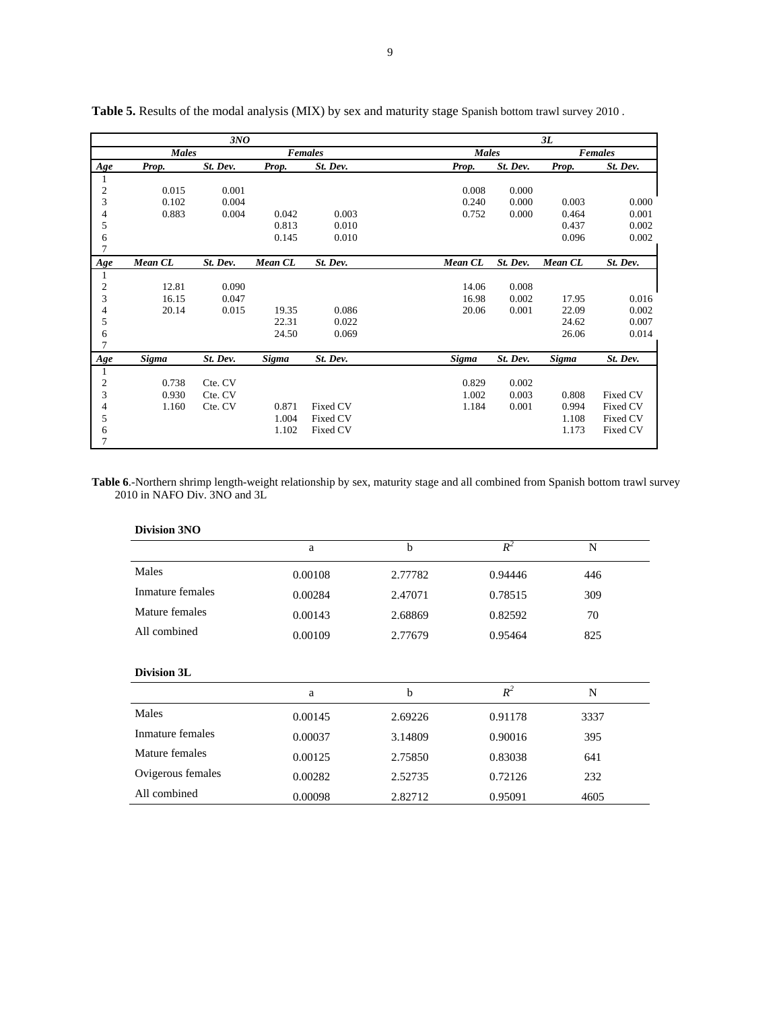|                |              | 3NO      |              |                |              |          | 3L           |                |
|----------------|--------------|----------|--------------|----------------|--------------|----------|--------------|----------------|
|                | <b>Males</b> |          |              | <b>Females</b> | <b>Males</b> |          |              | <b>Females</b> |
| Age            | Prop.        | St. Dev. | Prop.        | St. Dev.       | Prop.        | St. Dev. | Prop.        | St. Dev.       |
| -1             |              |          |              |                |              |          |              |                |
| $\overline{c}$ | 0.015        | 0.001    |              |                | 0.008        | 0.000    |              |                |
| $\sqrt{3}$     | 0.102        | 0.004    |              |                | 0.240        | 0.000    | 0.003        | 0.000          |
| 4              | 0.883        | 0.004    | 0.042        | 0.003          | 0.752        | 0.000    | 0.464        | 0.001          |
| 5              |              |          | 0.813        | 0.010          |              |          | 0.437        | 0.002          |
| 6              |              |          | 0.145        | 0.010          |              |          | 0.096        | 0.002          |
| 7              |              |          |              |                |              |          |              |                |
| Age            | Mean CL      | St. Dev. | Mean CL      | St. Dev.       | Mean CL      | St. Dev. | Mean CL      | St. Dev.       |
| 1              |              |          |              |                |              |          |              |                |
| $\mathbf{2}$   | 12.81        | 0.090    |              |                | 14.06        | 0.008    |              |                |
| 3              | 16.15        | 0.047    |              |                | 16.98        | 0.002    | 17.95        | 0.016          |
| 4              | 20.14        | 0.015    | 19.35        | 0.086          | 20.06        | 0.001    | 22.09        | 0.002          |
| 5              |              |          | 22.31        | 0.022          |              |          | 24.62        | 0.007          |
| 6              |              |          | 24.50        | 0.069          |              |          | 26.06        | 0.014          |
| 7              |              |          |              |                |              |          |              |                |
| Age            | Sigma        | St. Dev. | <b>Sigma</b> | St. Dev.       | <b>Sigma</b> | St. Dev. | <b>Sigma</b> | St. Dev.       |
| 1              |              |          |              |                |              |          |              |                |
| $\mathfrak{2}$ | 0.738        | Cte. CV  |              |                | 0.829        | 0.002    |              |                |
| 3              | 0.930        | Cte. CV  |              |                | 1.002        | 0.003    | 0.808        | Fixed CV       |
| $\overline{4}$ | 1.160        | Cte. CV  | 0.871        | Fixed CV       | 1.184        | 0.001    | 0.994        | Fixed CV       |
| 5              |              |          | 1.004        | Fixed CV       |              |          | 1.108        | Fixed CV       |
| 6              |              |          | 1.102        | Fixed CV       |              |          | 1.173        | Fixed CV       |
| 7              |              |          |              |                |              |          |              |                |

**Table 5.** Results of the modal analysis (MIX) by sex and maturity stage Spanish bottom trawl survey 2010 .

**Table 6**.-Northern shrimp length-weight relationship by sex, maturity stage and all combined from Spanish bottom trawl survey 2010 in NAFO Div. 3NO and 3L

| <b>Division 3NO</b> |         |             |         |      |  |
|---------------------|---------|-------------|---------|------|--|
|                     | a       | b           | $R^2$   | N    |  |
| Males               | 0.00108 | 2.77782     | 0.94446 | 446  |  |
| Inmature females    | 0.00284 | 2.47071     | 0.78515 | 309  |  |
| Mature females      | 0.00143 | 2.68869     | 0.82592 | 70   |  |
| All combined        | 0.00109 | 2.77679     | 0.95464 | 825  |  |
| Division 3L         |         |             |         |      |  |
|                     | a       | $\mathbf b$ | $R^2$   | N    |  |
| Males               | 0.00145 | 2.69226     | 0.91178 | 3337 |  |
| Inmature females    | 0.00037 | 3.14809     | 0.90016 | 395  |  |
| Mature females      | 0.00125 | 2.75850     | 0.83038 | 641  |  |
| Ovigerous females   | 0.00282 | 2.52735     | 0.72126 | 232  |  |
| All combined        | 0.00098 | 2.82712     | 0.95091 | 4605 |  |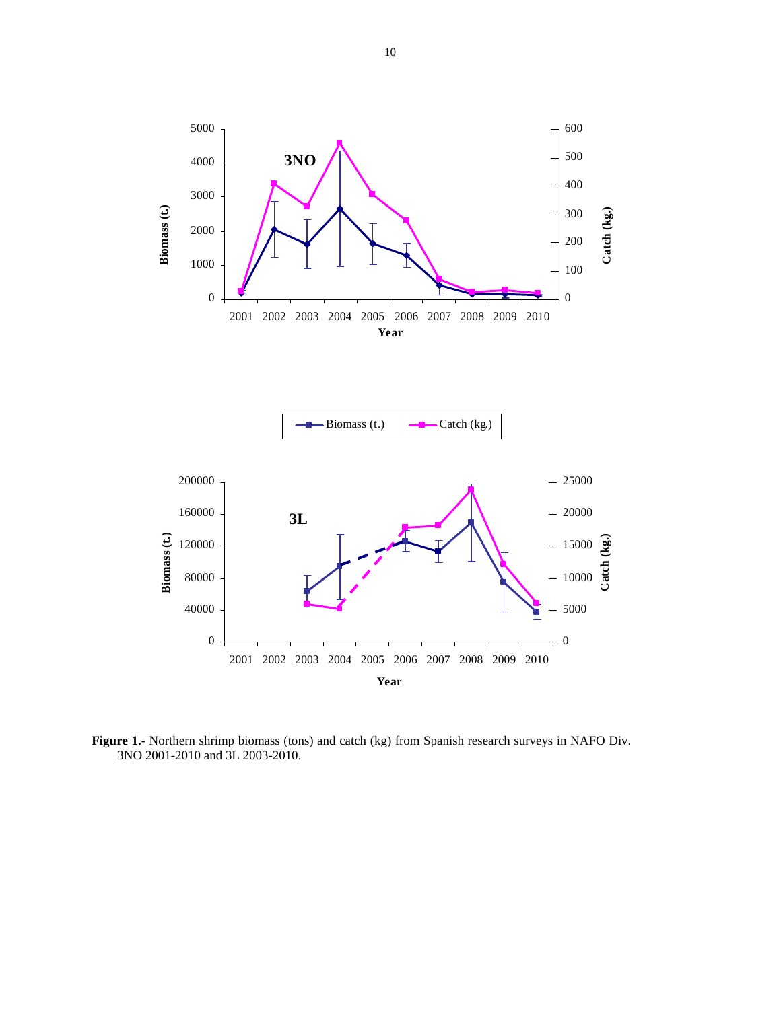



**Figure 1.-** Northern shrimp biomass (tons) and catch (kg) from Spanish research surveys in NAFO Div. 3NO 2001-2010 and 3L 2003-2010.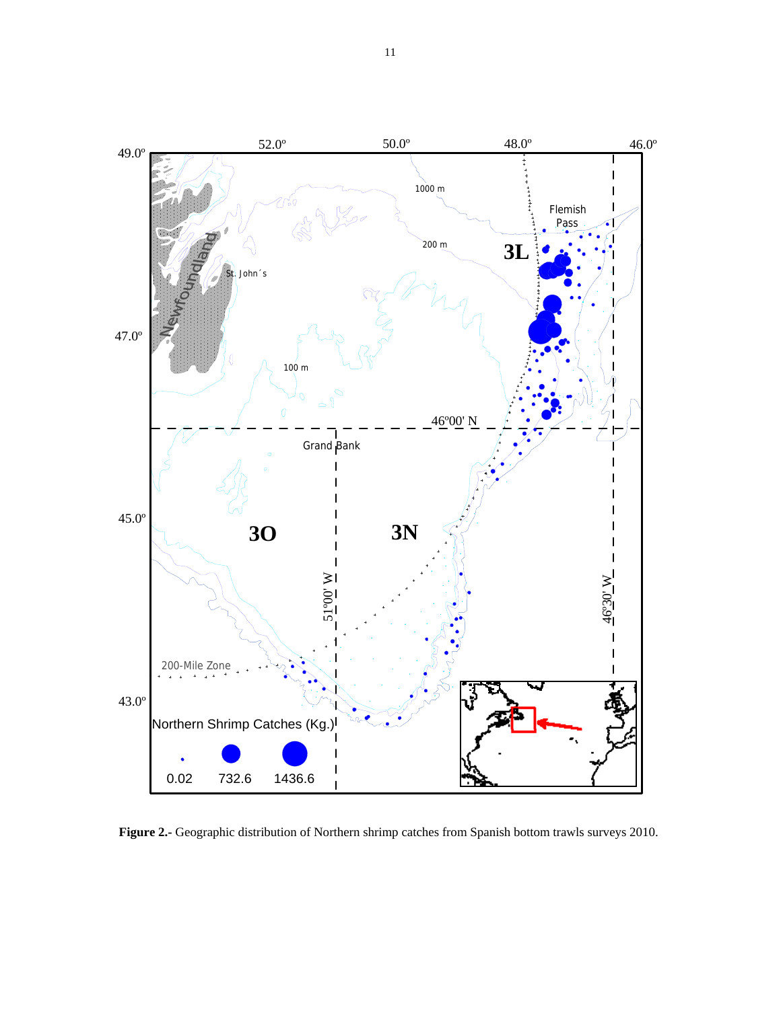

**Figure 2.-** Geographic distribution of Northern shrimp catches from Spanish bottom trawls surveys 2010.